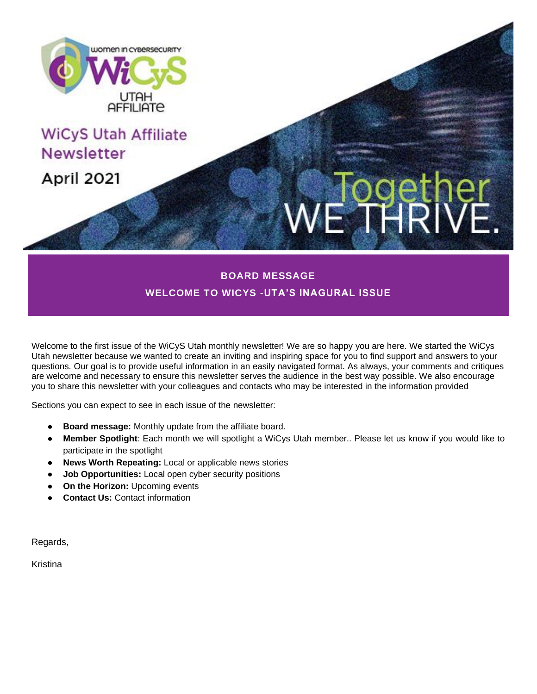

**WELCOME TO WICYS -UTA'S INAGURAL ISSUE**

Welcome to the first issue of the WiCyS Utah monthly newsletter! We are so happy you are here. We started the WiCys Utah newsletter because we wanted to create an inviting and inspiring space for you to find support and answers to your questions. Our goal is to provide useful information in an easily navigated format. As always, your comments and critiques are welcome and necessary to ensure this newsletter serves the audience in the best way possible. We also encourage you to share this newsletter with your colleagues and contacts who may be interested in the information provided

Sections you can expect to see in each issue of the newsletter:

- **Board message:** Monthly update from the affiliate board.
- **Member Spotlight**: Each month we will spotlight a WiCys Utah member.. Please let us know if you would like to participate in the spotlight
- **News Worth Repeating:** Local or applicable news stories
- **Job Opportunities:** Local open cyber security positions
- **On the Horizon: Upcoming events**
- **Contact Us: Contact information**

Regards,

Kristina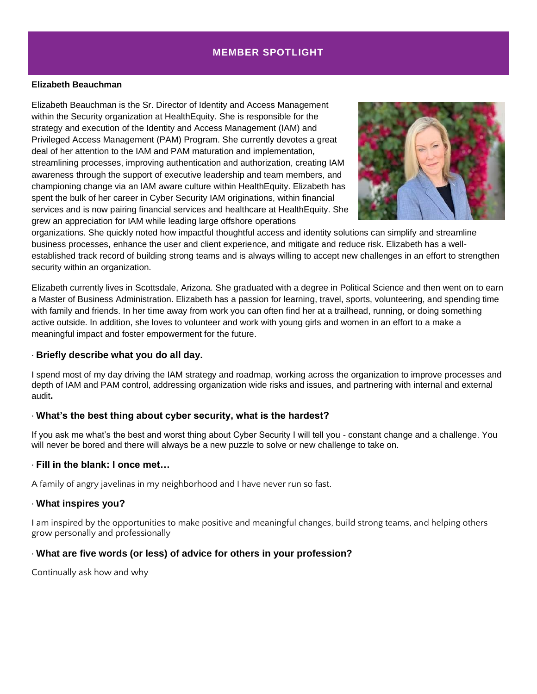## **MEMBER SPOTLIGHT**

#### **Elizabeth Beauchman**

Elizabeth Beauchman is the Sr. Director of Identity and Access Management within the Security organization at HealthEquity. She is responsible for the strategy and execution of the Identity and Access Management (IAM) and Privileged Access Management (PAM) Program. She currently devotes a great deal of her attention to the IAM and PAM maturation and implementation, streamlining processes, improving authentication and authorization, creating IAM awareness through the support of executive leadership and team members, and championing change via an IAM aware culture within HealthEquity. Elizabeth has spent the bulk of her career in Cyber Security IAM originations, within financial services and is now pairing financial services and healthcare at HealthEquity. She grew an appreciation for IAM while leading large offshore operations



organizations. She quickly noted how impactful thoughtful access and identity solutions can simplify and streamline business processes, enhance the user and client experience, and mitigate and reduce risk. Elizabeth has a wellestablished track record of building strong teams and is always willing to accept new challenges in an effort to strengthen security within an organization.

Elizabeth currently lives in Scottsdale, Arizona. She graduated with a degree in Political Science and then went on to earn a Master of Business Administration. Elizabeth has a passion for learning, travel, sports, volunteering, and spending time with family and friends. In her time away from work you can often find her at a trailhead, running, or doing something active outside. In addition, she loves to volunteer and work with young girls and women in an effort to a make a meaningful impact and foster empowerment for the future.

#### ∙ **Briefly describe what you do all day.**

I spend most of my day driving the IAM strategy and roadmap, working across the organization to improve processes and depth of IAM and PAM control, addressing organization wide risks and issues, and partnering with internal and external audit**.**

## ∙ **What's the best thing about cyber security, what is the hardest?**

If you ask me what's the best and worst thing about Cyber Security I will tell you - constant change and a challenge. You will never be bored and there will always be a new puzzle to solve or new challenge to take on.

#### ∙ **Fill in the blank: I once met…**

A family of angry javelinas in my neighborhood and I have never run so fast.

#### ∙ **What inspires you?**

I am inspired by the opportunities to make positive and meaningful changes, build strong teams, and helping others grow personally and professionally

## ∙ **What are five words (or less) of advice for others in your profession?**

Continually ask how and why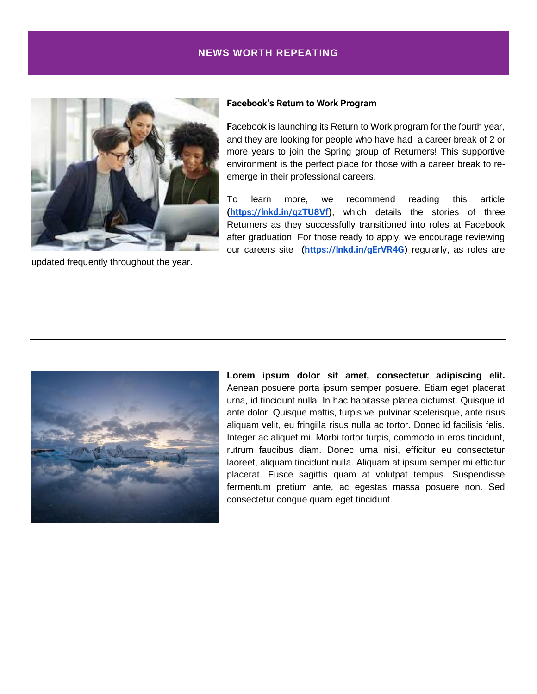## **NEWS WORTH REPEATING**



updated frequently throughout the year.

#### **Facebook's Return to Work Program**

**F**acebook is launching its Return to Work program for the fourth year, and they are looking for people who have had a career break of 2 or more years to join the Spring group of Returners! This supportive environment is the perfect place for those with a career break to reemerge in their professional careers.

To learn more, we recommend reading this article **[\(https://lnkd.in/gzTU8Vf\)](https://nam11.safelinks.protection.outlook.com/?url=https%3A%2F%2Flnkd.in%2FgzTU8Vf&data=04%7C01%7Ckbelnap%40healthequity.com%7Ca2513b27aff94396e08c08d8f9533cf8%7Cc5d0ad888f9343b89b7cc8a3bb8e410a%7C0%7C1%7C637533483192530832%7CUnknown%7CTWFpbGZsb3d8eyJWIjoiMC4wLjAwMDAiLCJQIjoiV2luMzIiLCJBTiI6Ik1haWwiLCJXVCI6Mn0%3D%7C2000&sdata=VpxiUNmAZQwSz8goo3G1uoqCLkmoDNpZ%2FVIqjCLWGdo%3D&reserved=0)**, which details the stories of three Returners as they successfully transitioned into roles at Facebook after graduation. For those ready to apply, we encourage reviewing our careers site **[\(https://lnkd.in/gErVR4G\)](https://nam11.safelinks.protection.outlook.com/?url=https%3A%2F%2Flnkd.in%2FgErVR4G&data=04%7C01%7Ckbelnap%40healthequity.com%7Ca2513b27aff94396e08c08d8f9533cf8%7Cc5d0ad888f9343b89b7cc8a3bb8e410a%7C0%7C1%7C637533483192540830%7CUnknown%7CTWFpbGZsb3d8eyJWIjoiMC4wLjAwMDAiLCJQIjoiV2luMzIiLCJBTiI6Ik1haWwiLCJXVCI6Mn0%3D%7C2000&sdata=dRcNXfUbxTSpwGUMt6swblXg1RtNXWycd3hjPvl21Yw%3D&reserved=0)** regularly, as roles are



**Lorem ipsum dolor sit amet, consectetur adipiscing elit.** Aenean posuere porta ipsum semper posuere. Etiam eget placerat urna, id tincidunt nulla. In hac habitasse platea dictumst. Quisque id ante dolor. Quisque mattis, turpis vel pulvinar scelerisque, ante risus aliquam velit, eu fringilla risus nulla ac tortor. Donec id facilisis felis. Integer ac aliquet mi. Morbi tortor turpis, commodo in eros tincidunt, rutrum faucibus diam. Donec urna nisi, efficitur eu consectetur laoreet, aliquam tincidunt nulla. Aliquam at ipsum semper mi efficitur placerat. Fusce sagittis quam at volutpat tempus. Suspendisse fermentum pretium ante, ac egestas massa posuere non. Sed consectetur congue quam eget tincidunt.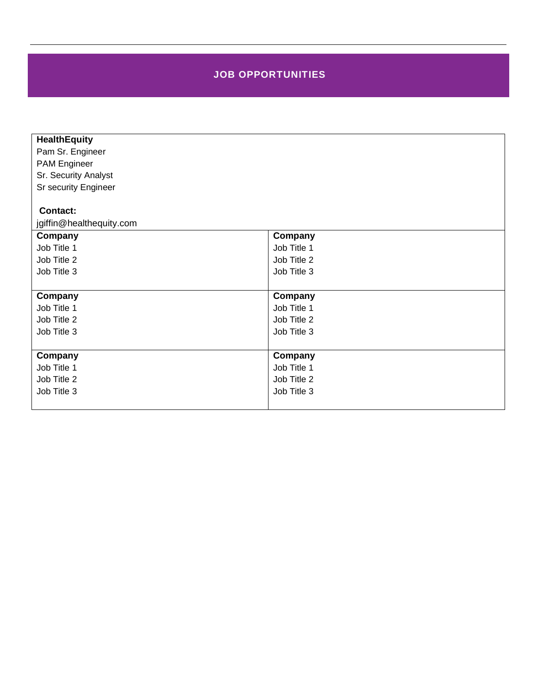## **JOB OPPORTUNITIES**

| <b>HealthEquity</b>      |             |
|--------------------------|-------------|
| Pam Sr. Engineer         |             |
| <b>PAM Engineer</b>      |             |
| Sr. Security Analyst     |             |
| Sr security Engineer     |             |
|                          |             |
| <b>Contact:</b>          |             |
| jgiffin@healthequity.com |             |
| Company                  | Company     |
| Job Title 1              | Job Title 1 |
| Job Title 2              | Job Title 2 |
| Job Title 3              | Job Title 3 |
|                          |             |
| Company                  | Company     |
| Job Title 1              | Job Title 1 |
| Job Title 2              | Job Title 2 |
| Job Title 3              | Job Title 3 |
|                          |             |
| Company                  | Company     |
| Job Title 1              | Job Title 1 |
| Job Title 2              | Job Title 2 |
| Job Title 3              | Job Title 3 |
|                          |             |